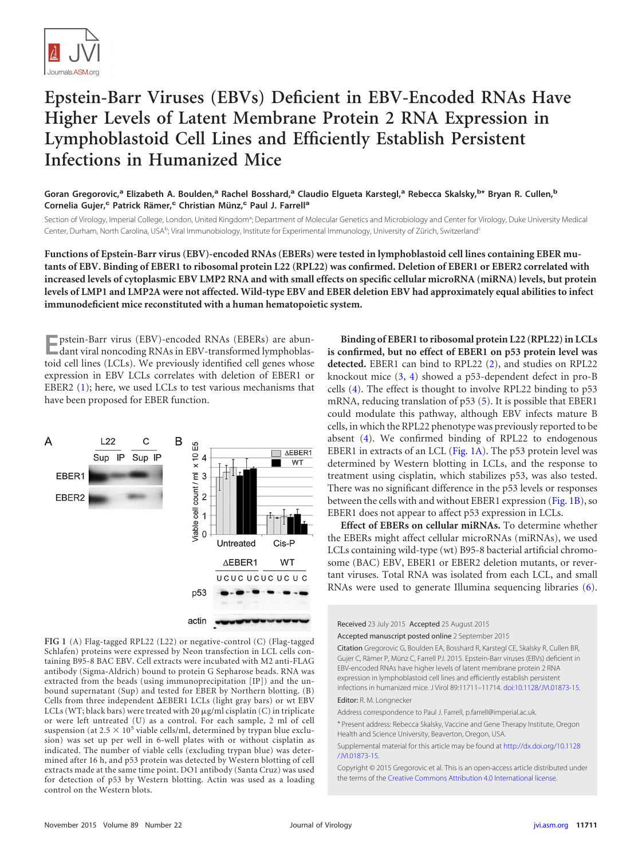

## **Epstein-Barr Viruses (EBVs) Deficient in EBV-Encoded RNAs Have Higher Levels of Latent Membrane Protein 2 RNA Expression in Lymphoblastoid Cell Lines and Efficiently Establish Persistent Infections in Humanized Mice**

**Goran Gregorovic,<sup>a</sup> Elizabeth A. Boulden,<sup>a</sup> Rachel Bosshard,<sup>a</sup> Claudio Elgueta Karstegl,<sup>a</sup> Rebecca Skalsky,<sup>b</sup> \* Bryan R. Cullen,<sup>b</sup> Cornelia Gujer,<sup>c</sup> Patrick Rämer,<sup>c</sup> Christian Münz,<sup>c</sup> Paul J. Farrell<sup>a</sup>**

Section of Virology, Imperial College, London, United Kingdom<sup>a</sup>; Department of Molecular Genetics and Microbiology and Center for Virology, Duke University Medical Center, Durham, North Carolina, USA<sup>b</sup>; Viral Immunobiology, Institute for Experimental Immunology, University of Zürich, Switzerland<sup>c</sup>

**Functions of Epstein-Barr virus (EBV)-encoded RNAs (EBERs) were tested in lymphoblastoid cell lines containing EBER mutants of EBV. Binding of EBER1 to ribosomal protein L22 (RPL22) was confirmed. Deletion of EBER1 or EBER2 correlated with increased levels of cytoplasmic EBV LMP2 RNA and with small effects on specific cellular microRNA (miRNA) levels, but protein levels of LMP1 and LMP2A were not affected. Wild-type EBV and EBER deletion EBV had approximately equal abilities to infect immunodeficient mice reconstituted with a human hematopoietic system.**

**E**pstein-Barr virus (EBV)-encoded RNAs (EBERs) are abundant viral noncoding RNAs in EBV-transformed lymphoblastoid cell lines (LCLs). We previously identified cell genes whose expression in EBV LCLs correlates with deletion of EBER1 or EBER2 [\(1\)](#page-3-0); here, we used LCLs to test various mechanisms that have been proposed for EBER function.



<span id="page-0-0"></span>**FIG 1** (A) Flag-tagged RPL22 (L22) or negative-control (C) (Flag-tagged Schlafen) proteins were expressed by Neon transfection in LCL cells containing B95-8 BAC EBV. Cell extracts were incubated with M2 anti-FLAG antibody (Sigma-Aldrich) bound to protein G Sepharose beads. RNA was extracted from the beads (using immunoprecipitation [IP]) and the unbound supernatant (Sup) and tested for EBER by Northern blotting. (B) Cells from three independent  $\Delta$ EBER1 LCLs (light gray bars) or wt EBV LCLs (WT; black bars) were treated with 20  $\mu$ g/ml cisplatin (C) in triplicate or were left untreated (U) as a control. For each sample, 2 ml of cell suspension (at  $2.5 \times 10^5$  viable cells/ml, determined by trypan blue exclusion) was set up per well in 6-well plates with or without cisplatin as indicated. The number of viable cells (excluding trypan blue) was determined after 16 h, and p53 protein was detected by Western blotting of cell extracts made at the same time point. DO1 antibody (Santa Cruz) was used for detection of p53 by Western blotting. Actin was used as a loading control on the Western blots.

**Binding of EBER1 to ribosomal protein L22 (RPL22) in LCLs is confirmed, but no effect of EBER1 on p53 protein level was detected.** EBER1 can bind to RPL22 [\(2\)](#page-3-1), and studies on RPL22 knockout mice [\(3,](#page-3-2) [4\)](#page-3-3) showed a p53-dependent defect in pro-B cells [\(4\)](#page-3-3). The effect is thought to involve RPL22 binding to p53 mRNA, reducing translation of p53 [\(5\)](#page-3-4). It is possible that EBER1 could modulate this pathway, although EBV infects mature B cells, in which the RPL22 phenotype was previously reported to be absent [\(4\)](#page-3-3). We confirmed binding of RPL22 to endogenous EBER1 in extracts of an LCL [\(Fig. 1A\)](#page-0-0). The p53 protein level was determined by Western blotting in LCLs, and the response to treatment using cisplatin, which stabilizes p53, was also tested. There was no significant difference in the p53 levels or responses between the cells with and without EBER1 expression [\(Fig. 1B\)](#page-0-0), so EBER1 does not appear to affect p53 expression in LCLs.

**Effect of EBERs on cellular miRNAs.** To determine whether the EBERs might affect cellular microRNAs (miRNAs), we used LCLs containing wild-type (wt) B95-8 bacterial artificial chromosome (BAC) EBV, EBER1 or EBER2 deletion mutants, or revertant viruses. Total RNA was isolated from each LCL, and small RNAs were used to generate Illumina sequencing libraries [\(6\)](#page-3-5).

Received 23 July 2015 Accepted 25 August 2015

Accepted manuscript posted online 2 September 2015

Citation Gregorovic G, Boulden EA, Bosshard R, Karstegl CE, Skalsky R, Cullen BR, Gujer C, Rämer P, Münz C, Farrell PJ. 2015. Epstein-Barr viruses (EBVs) deficient in EBV-encoded RNAs have higher levels of latent membrane protein 2 RNA expression in lymphoblastoid cell lines and efficiently establish persistent infections in humanized mice. J Virol 89:11711–11714. [doi:10.1128/JVI.01873-15.](http://dx.doi.org/10.1128/JVI.01873-15) Editor: R. M. Longnecker

Address correspondence to Paul J. Farrell, p.farrell@imperial.ac.uk.

\* Present address: Rebecca Skalsky, Vaccine and Gene Therapy Institute, Oregon Health and Science University, Beaverton, Oregon, USA.

Supplemental material for this article may be found at [http://dx.doi.org/10.1128](http://dx.doi.org/10.1128/JVI.01873-15) [/JVI.01873-15.](http://dx.doi.org/10.1128/JVI.01873-15)

Copyright © 2015 Gregorovic et al. This is an open-access article distributed under the terms of the [Creative Commons Attribution 4.0 International license.](http://creativecommons.org/licenses/by/4.0/)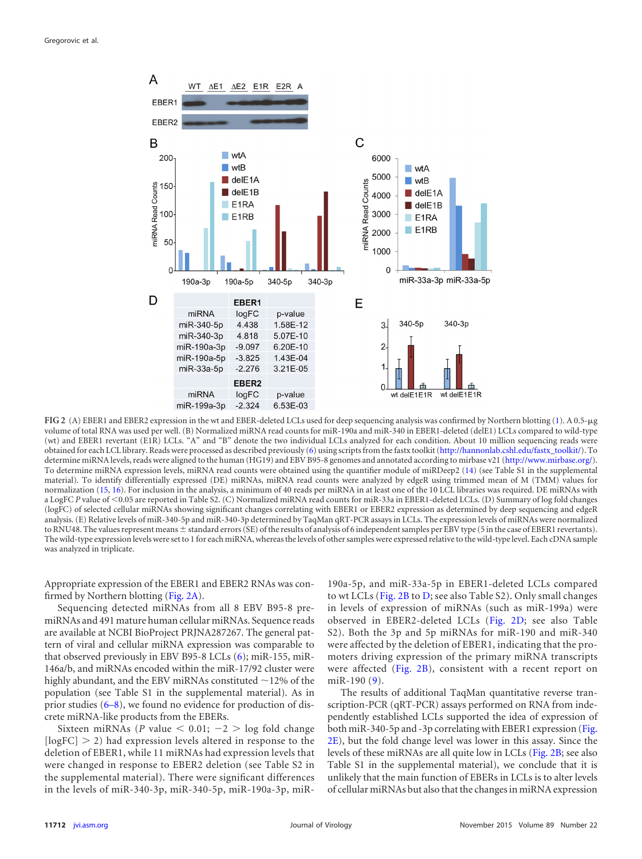

<span id="page-1-0"></span>**FIG 2** (A) EBER1 and EBER2 expression in the wt and EBER-deleted LCLs used for deep sequencing analysis was confirmed by Northern blotting [\(1\)](#page-3-0). A 0.5-µg volume of total RNA was used per well. (B) Normalized miRNA read counts for miR-190a and miR-340 in EBER1-deleted (delE1) LCLs compared to wild-type (wt) and EBER1 revertant (E1R) LCLs. "A" and "B" denote the two individual LCLs analyzed for each condition. About 10 million sequencing reads were obtained for each LCL library. Reads were processed as described previously [\(6\)](#page-3-5) using scripts from the fastx toolkit [\(http://hannonlab.cshl.edu/fastx\\_toolkit/\)](http://hannonlab.cshl.edu/fastx_toolkit/). To determine miRNA levels, reads were aligned to the human (HG19) and EBV B95-8 genomes and annotated according to mirbase v21 [\(http://www.mirbase.org/\)](http://www.mirbase.org/). To determine miRNA expression levels, miRNA read counts were obtained using the quantifier module of miRDeep2 [\(14\)](#page-3-9) (see Table S1 in the supplemental material). To identify differentially expressed (DE) miRNAs, miRNA read counts were analyzed by edgeR using trimmed mean of M (TMM) values for normalization [\(15,](#page-3-10) [16\)](#page-3-11). For inclusion in the analysis, a minimum of 40 reads per miRNA in at least one of the 10 LCL libraries was required. DE miRNAs with a LogFC P value of <0.05 are reported in Table S2. (C) Normalized miRNA read counts for miR-33a in EBER1-deleted LCLs. (D) Summary of log fold changes (logFC) of selected cellular miRNAs showing significant changes correlating with EBER1 or EBER2 expression as determined by deep sequencing and edgeR analysis. (E) Relative levels of miR-340-5p and miR-340-3p determined by TaqMan qRT-PCR assays in LCLs. The expression levels of miRNAs were normalized to RNU48. The values represent means  $\pm$  standard errors (SE) of the results of analysis of 6 independent samples per EBV type (5 in the case of EBER1 revertants). The wild-type expression levels were set to 1 for each miRNA, whereas the levels of other samples were expressed relative to the wild-type level. Each cDNA sample was analyzed in triplicate.

Appropriate expression of the EBER1 and EBER2 RNAs was confirmed by Northern blotting [\(Fig. 2A\)](#page-1-0).

Sequencing detected miRNAs from all 8 EBV B95-8 premiRNAs and 491 mature human cellular miRNAs. Sequence reads are available at NCBI BioProject PRJNA287267. The general pattern of viral and cellular miRNA expression was comparable to that observed previously in EBV B95-8 LCLs [\(6\)](#page-3-5); miR-155, miR-146a/b, and miRNAs encoded within the miR-17/92 cluster were highly abundant, and the EBV miRNAs constituted  $\sim$ 12% of the population (see Table S1 in the supplemental material). As in prior studies [\(6](#page-3-5)[–](#page-3-6)[8\)](#page-3-7), we found no evidence for production of discrete miRNA-like products from the EBERs.

Sixteen miRNAs (*P* value  $\leq 0.01$ ;  $-2$   $>$  log fold change  $[logFC] > 2$ ) had expression levels altered in response to the deletion of EBER1, while 11 miRNAs had expression levels that were changed in response to EBER2 deletion (see Table S2 in the supplemental material). There were significant differences in the levels of miR-340-3p, miR-340-5p, miR-190a-3p, miR-

190a-5p, and miR-33a-5p in EBER1-deleted LCLs compared to wt LCLs [\(Fig. 2B](#page-1-0) to [D;](#page-1-0) see also Table S2). Only small changes in levels of expression of miRNAs (such as miR-199a) were observed in EBER2-deleted LCLs [\(Fig. 2D;](#page-1-0) see also Table S2). Both the 3p and 5p miRNAs for miR-190 and miR-340 were affected by the deletion of EBER1, indicating that the promoters driving expression of the primary miRNA transcripts were affected [\(Fig. 2B\)](#page-1-0), consistent with a recent report on miR-190 [\(9\)](#page-3-8).

The results of additional TaqMan quantitative reverse transcription-PCR (qRT-PCR) assays performed on RNA from independently established LCLs supported the idea of expression of both miR-340-5p and -3p correlating with EBER1 expression [\(Fig.](#page-1-0) [2E\)](#page-1-0), but the fold change level was lower in this assay. Since the levels of these miRNAs are all quite low in LCLs [\(Fig. 2B;](#page-1-0) see also Table S1 in the supplemental material), we conclude that it is unlikely that the main function of EBERs in LCLs is to alter levels of cellular miRNAs but also that the changes in miRNA expression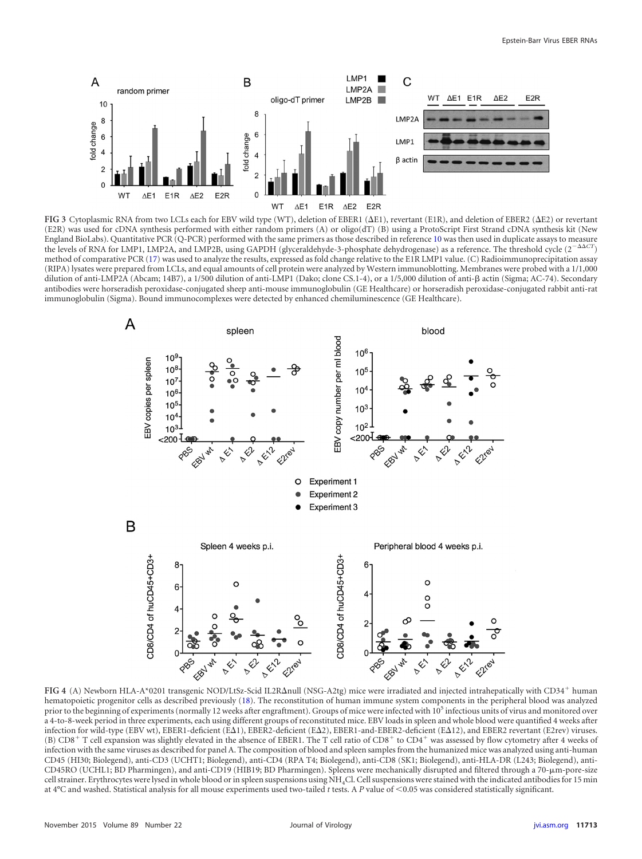

<span id="page-2-0"></span>FIG 3 Cytoplasmic RNA from two LCLs each for EBV wild type (WT), deletion of EBER1 ( $\Delta$ E1), revertant (E1R), and deletion of EBER2 ( $\Delta$ E2) or revertant (E2R) was used for cDNA synthesis performed with either random primers (A) or oligo(dT) (B) using a ProtoScript First Strand cDNA synthesis kit (New England BioLabs). Quantitative PCR (Q-PCR) performed with the same primers as those described in reference [10](#page-3-12) was then used in duplicate assays to measure the levels of RNA for LMP1, LMP2A, and LMP2B, using GAPDH (glyceraldehyde-3-phosphate dehydrogenase) as a reference. The threshold cycle  $(2^{-\Delta\Delta CT})$ method of comparative PCR [\(17\)](#page-3-13) was used to analyze the results, expressed as fold change relative to the E1R LMP1 value. (C) Radioimmunoprecipitation assay (RIPA) lysates were prepared from LCLs, and equal amounts of cell protein were analyzed by Western immunoblotting. Membranes were probed with a 1/1,000 dilution of anti-LMP2A (Abcam; 14B7), a 1/500 dilution of anti-LMP1 (Dako; clone CS.1-4), or a 1/5,000 dilution of anti-β actin (Sigma; AC-74). Secondary antibodies were horseradish peroxidase-conjugated sheep anti-mouse immunoglobulin (GE Healthcare) or horseradish peroxidase-conjugated rabbit anti-rat immunoglobulin (Sigma). Bound immunocomplexes were detected by enhanced chemiluminescence (GE Healthcare).



<span id="page-2-1"></span>FIG 4 (A) Newborn HLA-A\*0201 transgenic NOD/LtSz-Scid IL2R $\Delta$ null (NSG-A2tg) mice were irradiated and injected intrahepatically with CD34<sup>+</sup> human hematopoietic progenitor cells as described previously [\(18\)](#page-3-14). The reconstitution of human immune system components in the peripheral blood was analyzed prior to the beginning of experiments (normally 12 weeks after engraftment). Groups of mice were infected with 10<sup>5</sup> infectious units of virus and monitored over a 4-to-8-week period in three experiments, each using different groups of reconstituted mice. EBV loads in spleen and whole blood were quantified 4 weeks after infection for wild-type (EBV wt), EBER1-deficient (E $\Delta 1$ ), EBER2-deficient (E $\Delta 2$ ), EBER1-and-EBER2-deficient (E $\Delta 12$ ), and EBER2 revertant (E2rev) viruses. (B)  $CD8<sup>+</sup>$  T cell expansion was slightly elevated in the absence of EBER1. The T cell ratio of  $CD8<sup>+</sup>$  to  $CD4<sup>+</sup>$  was assessed by flow cytometry after 4 weeks of infection with the same viruses as described for panel A. The composition of blood and spleen samples from the humanized mice was analyzed using anti-human CD45 (HI30; Biolegend), anti-CD3 (UCHT1; Biolegend), anti-CD4 (RPA T4; Biolegend), anti-CD8 (SK1; Biolegend), anti-HLA-DR (L243; Biolegend), anti-CD45RO (UCHL1; BD Pharmingen), and anti-CD19 (HIB19; BD Pharmingen). Spleens were mechanically disrupted and filtered through a 70-µm-pore-size cell strainer. Erythrocytes were lysed in whole blood or in spleen suspensions using NH4Cl. Cell suspensions were stained with the indicated antibodies for 15 min at 4°C and washed. Statistical analysis for all mouse experiments used two-tailed *t* tests. A *P* value of 0.05 was considered statistically significant.